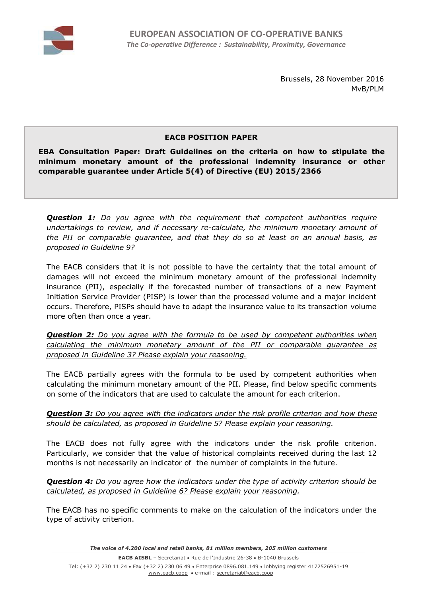

Brussels, 28 November 2016 MvB/PLM

## **EACB POSITION PAPER**

**EBA Consultation Paper: Draft Guidelines on the criteria on how to stipulate the minimum monetary amount of the professional indemnity insurance or other comparable guarantee under Article 5(4) of Directive (EU) 2015/2366**

*Question 1: Do you agree with the requirement that competent authorities require undertakings to review, and if necessary re-calculate, the minimum monetary amount of the PII or comparable guarantee, and that they do so at least on an annual basis, as proposed in Guideline 9?*

The EACB considers that it is not possible to have the certainty that the total amount of damages will not exceed the minimum monetary amount of the professional indemnity insurance (PII), especially if the forecasted number of transactions of a new Payment Initiation Service Provider (PISP) is lower than the processed volume and a major incident occurs. Therefore, PISPs should have to adapt the insurance value to its transaction volume more often than once a year.

*Question 2: Do you agree with the formula to be used by competent authorities when calculating the minimum monetary amount of the PII or comparable guarantee as proposed in Guideline 3? Please explain your reasoning.*

The EACB partially agrees with the formula to be used by competent authorities when calculating the minimum monetary amount of the PII. Please, find below specific comments on some of the indicators that are used to calculate the amount for each criterion.

## *Question 3: Do you agree with the indicators under the risk profile criterion and how these should be calculated, as proposed in Guideline 5? Please explain your reasoning.*

The EACB does not fully agree with the indicators under the risk profile criterion. Particularly, we consider that the value of historical complaints received during the last 12 months is not necessarily an indicator of the number of complaints in the future.

## *Question 4: Do you agree how the indicators under the type of activity criterion should be calculated, as proposed in Guideline 6? Please explain your reasoning.*

The EACB has no specific comments to make on the calculation of the indicators under the type of activity criterion.

*The voice of 4.200 local and retail banks, 81 million members, 205 million customers*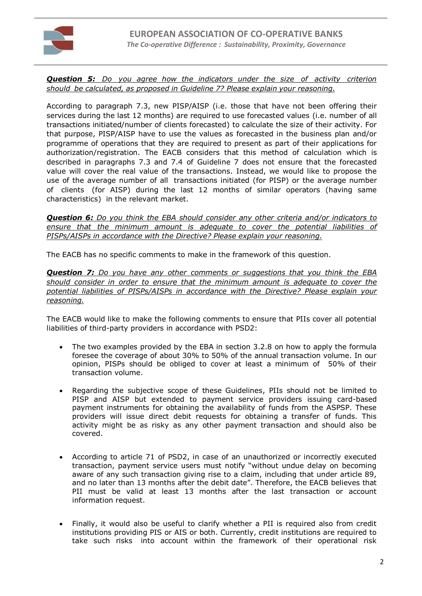

## *Question 5: Do you agree how the indicators under the size of activity criterion should be calculated, as proposed in Guideline 7? Please explain your reasoning.*

According to paragraph 7.3, new PISP/AISP (i.e. those that have not been offering their services during the last 12 months) are required to use forecasted values (i.e. number of all transactions initiated/number of clients forecasted) to calculate the size of their activity. For that purpose, PISP/AISP have to use the values as forecasted in the business plan and/or programme of operations that they are required to present as part of their applications for authorization/registration. The EACB considers that this method of calculation which is described in paragraphs 7.3 and 7.4 of Guideline 7 does not ensure that the forecasted value will cover the real value of the transactions. Instead, we would like to propose the use of the average number of all transactions initiated (for PISP) or the average number of clients (for AISP) during the last 12 months of similar operators (having same characteristics) in the relevant market.

*Question 6: Do you think the EBA should consider any other criteria and/or indicators to ensure that the minimum amount is adequate to cover the potential liabilities of PISPs/AISPs in accordance with the Directive? Please explain your reasoning.*

The EACB has no specific comments to make in the framework of this question.

*Question 7: Do you have any other comments or suggestions that you think the EBA should consider in order to ensure that the minimum amount is adequate to cover the potential liabilities of PISPs/AISPs in accordance with the Directive? Please explain your reasoning.*

The EACB would like to make the following comments to ensure that PIIs cover all potential liabilities of third-party providers in accordance with PSD2:

- The two examples provided by the EBA in section 3.2.8 on how to apply the formula foresee the coverage of about 30% to 50% of the annual transaction volume. In our opinion, PISPs should be obliged to cover at least a minimum of 50% of their transaction volume.
- Regarding the subjective scope of these Guidelines, PIIs should not be limited to PISP and AISP but extended to payment service providers issuing card-based payment instruments for obtaining the availability of funds from the ASPSP. These providers will issue direct debit requests for obtaining a transfer of funds. This activity might be as risky as any other payment transaction and should also be covered.
- According to article 71 of PSD2, in case of an unauthorized or incorrectly executed transaction, payment service users must notify "without undue delay on becoming aware of any such transaction giving rise to a claim, including that under article 89, and no later than 13 months after the debit date". Therefore, the EACB believes that PII must be valid at least 13 months after the last transaction or account information request.
- Finally, it would also be useful to clarify whether a PII is required also from credit institutions providing PIS or AIS or both. Currently, credit institutions are required to take such risks into account within the framework of their operational risk